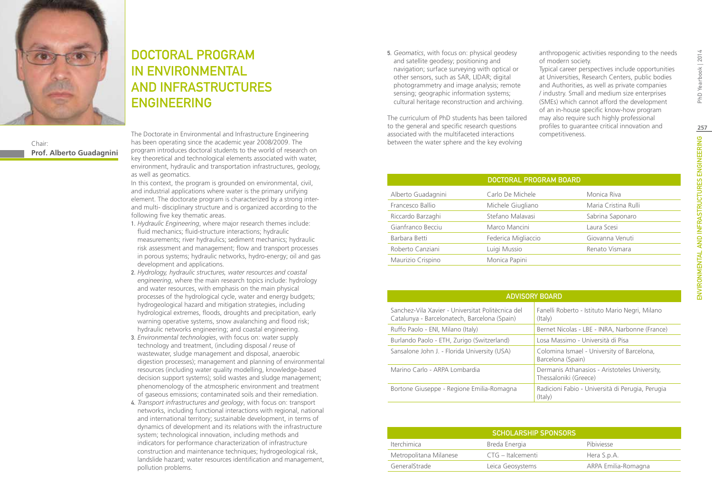

## DOCTORAL PROGRAM IN Environmental and Infrastructures **ENGINEERING**

Chair: **Prof. Alberto Guadagnini** The Doctorate in Environmental and Infrastructure Engineering has been operating since the academic year 2008/2009. The program introduces doctoral students to the world of research on key theoretical and technological elements associated with water, environment, hydraulic and transportation infrastructures, geology, as well as geomatics.

In this context, the program is grounded on environmental, civil, and industrial applications where water is the primary unifying element. The doctorate program is characterized by a strong interand multi- disciplinary structure and is organized according to the following five key thematic areas.

- 1. *Hydraulic Engineering*, where major research themes include: fluid mechanics; fluid-structure interactions; hydraulic measurements; river hydraulics; sediment mechanics; hydraulic risk assessment and management; flow and transport processes in porous systems; hydraulic networks, hydro-energy; oil and gas development and applications.
- 2. *Hydrology, hydraulic structures, water resources and coastal engineering*, where the main research topics include: hydrology and water resources, with emphasis on the main physical processes of the hydrological cycle, water and energy budgets; hydrogeological hazard and mitigation strategies, including hydrological extremes, floods, droughts and precipitation, early warning operative systems, snow avalanching and flood risk; hydraulic networks engineering; and coastal engineering.
- 3. *Environmental technologies*, with focus on: water supply technology and treatment, (including disposal / reuse of wastewater, sludge management and disposal, anaerobic digestion processes); management and planning of environmental resources (including water quality modelling, knowledge-based decision support systems); solid wastes and sludge management; phenomenology of the atmospheric environment and treatment of gaseous emissions; contaminated soils and their remediation.
- 4. *Transport infrastructures and geology*, with focus on: transport networks, including functional interactions with regional, national and international territory; sustainable development, in terms of dynamics of development and its relations with the infrastructure system; technological innovation, including methods and indicators for performance characterization of infrastructure construction and maintenance techniques; hydrogeological risk, landslide hazard; water resources identification and management, pollution problems.

5. *Geomatics*, with focus on: physical geodesy and satellite geodesy; positioning and navigation; surface surveying with optical or other sensors, such as SAR, LIDAR; digital photogrammetry and image analysis; remote sensing; geographic information systems; cultural heritage reconstruction and archiving.

The curriculum of PhD students has been tailored to the general and specific research questions associated with the multifaceted interactions between the water sphere and the key evolving

anthropogenic activities responding to the needs of modern society.

Typical career perspectives include opportunities at Universities, Research Centers, public bodies and Authorities, as well as private companies / industry. Small and medium size enterprises (SMEs) which cannot afford the development of an in-house specific know-how program may also require such highly professional profiles to guarantee critical innovation and competitiveness.

|                    | DOCTORAL PROGRAM BOARD |                      |
|--------------------|------------------------|----------------------|
| Alberto Guadagnini | Carlo De Michele       | Monica Riva          |
| Francesco Ballio   | Michele Giugliano      | Maria Cristina Rulli |
| Riccardo Barzaghi  | Stefano Malavasi       | Sabrina Saponaro     |
| Gianfranco Becciu  | Marco Mancini          | Laura Scesi          |
| Barbara Betti      | Federica Migliaccio    | Giovanna Venuti      |
| Roberto Canziani   | Luigi Mussio           | Renato Vismara       |
| Maurizio Crispino  | Monica Papini          |                      |

**257**

PhD Yearbook | 2014

| <b>ADVISORY BOARD</b>                                                                             |                                                                        |  |
|---------------------------------------------------------------------------------------------------|------------------------------------------------------------------------|--|
| Sanchez-Vila Xavier - Universitat Politècnica del<br>Catalunya - Barcelonatech, Barcelona (Spain) | Fanelli Roberto - Istituto Mario Negri, Milano<br>(Italy)              |  |
| Ruffo Paolo - ENI, Milano (Italy)                                                                 | Bernet Nicolas - LBE - INRA, Narbonne (France)                         |  |
| Burlando Paolo - ETH, Zurigo (Switzerland)                                                        | Losa Massimo - Università di Pisa                                      |  |
| Sansalone John J. - Florida University (USA)                                                      | Colomina Ismael - University of Barcelona,<br>Barcelona (Spain)        |  |
| Marino Carlo - ARPA Lombardia                                                                     | Dermanis Athanasios - Aristoteles University,<br>Thessaloniki (Greece) |  |
| Bortone Giuseppe - Regione Emilia-Romagna                                                         | Radicioni Fabio - Università di Perugia, Perugia<br>(Italy)            |  |
|                                                                                                   |                                                                        |  |

| <b>SCHOLARSHIP SPONSORS</b>      |                   |                     |
|----------------------------------|-------------------|---------------------|
| <i><u><b>Iterchimica</b></u></i> | Breda Energia     | Pibiviesse          |
| Metropolitana Milanese           | CTG – Italcementi | Hera S.p.A.         |
| GeneralStrade                    | Leica Geosystems  | ARPA Emilia-Romagna |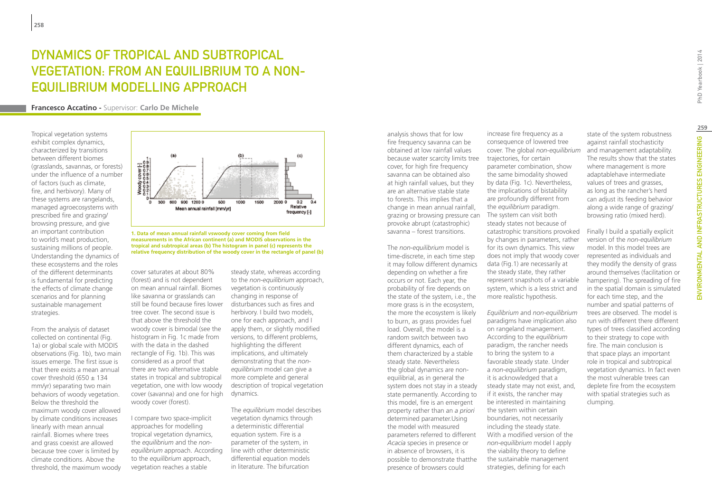# Dynamics of tropical and subtropical vegetation: from an equilibrium to a nonequilibrium modelling approach

**Francesco Accatino -** Supervisor: **Carlo De Michele**

Tropical vegetation systems exhibit complex dynamics, characterized by transitions between different biomes (grasslands, savannas, or forests) under the influence of a number of factors (such as climate, fire, and herbivory). Many of these systems are rangelands, managed agroecosystems with prescribed fire and grazing/ browsing pressure, and give an important contribution to world's meat production, sustaining millions of people. Understanding the dynamics of these ecosystems and the roles of the different determinants is fundamental for predicting the effects of climate change scenarios and for planning sustainable management strategies.

From the analysis of dataset collected on continental (Fig. 1a) or global scale with MODIS observations (Fig. 1b), two main issues emerge. The first issue is that there exists a mean annual cover threshold (650  $\pm$  134 mm/yr) separating two main behaviors of woody vegetation. Below the threshold the maximum woody cover allowed by climate conditions increases linearly with mean annual rainfall. Biomes where trees and grass coexist are allowed because tree cover is limited by climate conditions. Above the threshold, the maximum woody



**1. Data of mean annual rainfall vswoody cover coming from field measurements in the African continent (a) and MODIS observations in the tropical and subtropical areas (b) The histogram in panel (c) represents the relative frequency distribution of the woody cover in the rectangle of panel (b)**

cover saturates at about 80% (forest) and is not dependent on mean annual rainfall. Biomes like savanna or grasslands can still be found because fires lower tree cover. The second issue is that above the threshold the woody cover is bimodal (see the histogram in Fig. 1c made from with the data in the dashed rectangle of Fig. 1b). This was considered as a proof that there are two alternative stable states in tropical and subtropical vegetation, one with low woody cover (savanna) and one for high woody cover (forest).

I compare two space-implicit approaches for modelling tropical vegetation dynamics, the *equilibrium* and the *nonequilibrium* approach. According to the *equilibrium* approach, vegetation reaches a stable

steady state, whereas according to the *non-equilibrium* approach, vegetation is continuously changing in response of disturbances such as fires and herbivory. I build two models, one for each approach, and I apply them, or slightly modified versions, to different problems, highlighting the different implications, and ultimately demonstrating that the *nonequilibrium* model can give a more complete and general description of tropical vegetation dynamics.

The *equilibrium* model describes vegetation dynamics through a deterministic differential equation system. Fire is a parameter of the system, in line with other deterministic differential equation models in literature. The bifurcation

analysis shows that for low fire frequency savanna can be obtained at low rainfall values because water scarcity limits tree cover, for high fire frequency savanna can be obtained also at high rainfall values, but they are an alternative stable state to forests. This implies that a change in mean annual rainfall, grazing or browsing pressure can provoke abrupt (catastrophic) savanna – forest transitions.

The *non-equilibrium* model is time-discrete, in each time step it may follow different dynamics depending on whether a fire occurs or not. Each year, the probability of fire depends on the state of the system, i.e., the more grass is in the ecosystem, the more the ecosystem is likely to burn, as grass provides fuel load. Overall, the model is a random switch between two different dynamics, each of them characterized by a stable steady state. Nevertheless the global dynamics are nonequilibrial, as in general the system does not stay in a steady state permanently. According to this model, fire is an emergent property rather than an *a priori* determined parameter.Using the model with measured parameters referred to different *Acacia* species in presence or in absence of browsers, it is possible to demonstrate thatthe presence of browsers could

increase fire frequency as a consequence of lowered tree cover. The global *non-equilibrium* trajectories, for certain parameter combination, show the same bimodality showed by data (Fig. 1c). Nevertheless, the implications of bistability are profoundly different from the *equilibrium* paradigm. The system can visit both steady states not because of catastrophic transitions provoked by changes in parameters, rather for its own dynamics. This view does not imply that woody cover data (Fig.1) are necessarily at the steady state, they rather represent snapshots of a variable system, which is a less strict and more realistic hypothesis.

*Equilibrium* and *non-equilibrium* paradigms have implication also on rangeland management. According to the *equilibrium* paradigm, the rancher needs to bring the system to a favorable steady state. Under a *non-equilibrium* paradigm, it is acknowledged that a steady state may not exist, and, if it exists, the rancher may be interested in maintaining the system within certain boundaries, not necessarily including the steady state. With a modified version of the *non-equilibrium* model I apply the viability theory to define the sustainable management strategies, defining for each

state of the system robustness against rainfall stochasticity and management adaptability. The results show that the states where management is more adaptablehave intermediate values of trees and grasses, as long as the rancher's herd can adjust its feeding behavior along a wide range of grazing/ browsing ratio (mixed herd).

Finally I build a spatially explicit version of the *non-equilibrium* model. In this model trees are represented as individuals and they modify the density of grass around themselves (facilitation or hampering). The spreading of fire in the spatial domain is simulated for each time step, and the number and spatial patterns of trees are observed. The model is run with different there different types of trees classified according to their strategy to cope with fire. The main conclusion is that space plays an important role in tropical and subtropical vegetation dynamics. In fact even the most vulnerable trees can deplete fire from the ecosystem with spatial strategies such as clumping.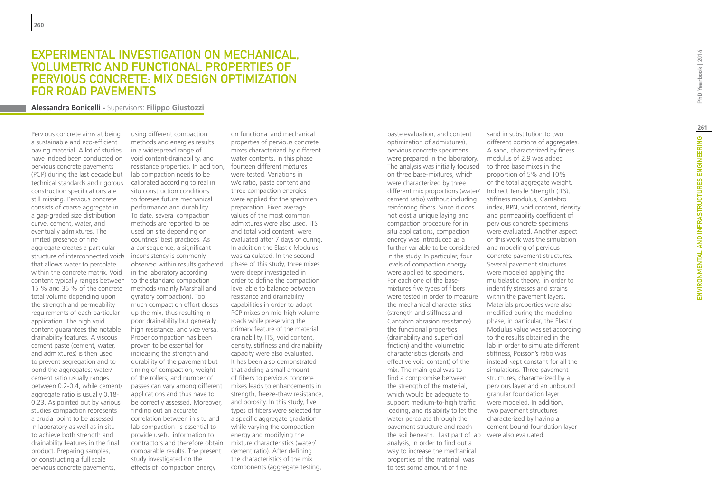### EXPERIMENTAL INVESTIGATION ON MECHANICAL, VOL UMETRIC AND FUNCTIONAL PROPERTIE S O F PERVIOUS CONCRETE: MIX DE SIGN OPTIMIZATION FOR ROAD PAVEMENT S

**Alessandra Bonicelli -** Supervisors: **Filippo Giustozzi**

Pervious concrete aims at being a sustainable and eco-efficient paving material. A lot of studies have indeed been conducted on pervious concrete pavements (PCP) during the last decade but technical standards and rigorous construction specifications are still missing. Pervious concrete consists of coarse aggregate in a gap-graded size distribution curve, cement, water, and eventually admixtures. The limited presence of fine aggregate creates a particular structure of interconnected voids that allows water to percolate within the concrete matrix. Void content typically ranges between 15 % and 35 % of the concrete total volume depending upon the strength and permeability requirements of each particular application. The high void content guarantees the notable drainability features. A viscous cement paste (cement, water, and admixtures) is then used to prevent segregation and to bond the aggregates; water/ cement ratio usually ranges between 0.2-0.4, while cement/ aggregate ratio is usually 0.18- 0.23. As pointed out by various studies compaction represents a crucial point to be assessed in laboratory as well as in situ to achieve both strength and drainability features in the final product. Preparing samples, or constructing a full scale pervious concrete pavements,

using different compaction methods and energies results in a widespread range of void content-drainability, and resistance properties. In addition, lab compaction needs to be calibrated according to real in situ construction conditions to foresee future mechanical performance and durability. To date, several compaction methods are reported to be used on site depending on countries' best practices. As a consequence, a significant inconsistency is commonly observed within results gathered in the laboratory according to the standard compaction methods (mainly Marshall and gyratory compaction). Too much compaction effort closes up the mix, thus resulting in poor drainability but generally high resistance, and vice versa. Proper compaction has been proven to be essential for increasing the strength and durability of the pavement but timing of compaction, weight of the rollers, and number of passes can vary among different applications and thus have to be correctly assessed. Moreover, finding out an accurate correlation between in situ and lab compaction is essential to provide useful information to contractors and therefore obtain comparable results. The present study investigated on the effects of compaction energy

on functional and mechanical properties of pervious concrete mixes characterized by different water contents. In this phase fourteen different mixtures were tested. Variations in w/c ratio, paste content and three compaction energies were applied for the specimen preparation. Fixed average values of the most common admixtures were also used. ITS and total void content were evaluated after 7 days of curing. In addition the Elastic Modulus was calculated. In the second phase of this study, three mixes were deepr investigated in order to define the compaction level able to balance between resistance and drainability capabilities in order to adopt PCP mixes on mid-high volume roads while preserving the primary feature of the material, drainability. ITS, void content, density, stiffness and drainability capacity were also evaluated. It has been also demonstrated that adding a small amount of fibers to pervious concrete mixes leads to enhancements in strength, freeze-thaw resistance, and porosity. In this study, five types of fibers were selected for a specific aggregate gradation while varying the compaction energy and modifying the mixture characteristics (water/ cement ratio). After defining the characteristics of the mix components (aggregate testing,

paste evaluation, and content optimization of admixtures), pervious concrete specimens were prepared in the laboratory. The analysis was initially focused on three base-mixtures, which were characterized by three different mix proportions (water/ cement ratio) without including reinforcing fibers. Since it does not exist a unique laying and compaction procedure for in situ applications, compaction energy was introduced as a further variable to be considered in the study. In particular, four levels of compaction energy were applied to specimens. For each one of the basemixtures five types of fibers were tested in order to measure the mechanical characteristics (strength and stiffness and Cantabro abrasion resistance) the functional properties (drainability and superficial friction) and the volumetric characteristics (density and effective void content) of the mix. The main goal was to find a compromise between the strength of the material, which would be adequate to support medium-to-high traffic loading, and its ability to let the water percolate through the pavement structure and reach the soil beneath. Last part of lab were also evaluated. analysis, in order to find out a way to increase the mechanical properties of the material was to test some amount of fine

sand in substitution to two different portions of aggregates. A sand, characterized by finess modulus of 2.9 was added to three base mixes in the proportion of 5% and 10% of the total aggregate weight. Indirect Tensile Strength (ITS), stiffness modulus, Cantabro index, BPN, void content, density and permeability coefficient of pervious concrete specimens were evaluated. Another aspect of this work was the simulation and modeling of pervious concrete pavement structures. Several pavement structures were modeled applying the multielastic theory, in order to indentify stresses and strains within the pavement layers. Materials properties were also modified during the modeling phase; in particular, the Elastic Modulus value was set according to the results obtained in the lab in order to simulate different stiffness, Poisson's ratio was instead kept constant for all the simulations. Three pavement structures, characterized by a pervious layer and an unbound granular foundation layer were modeled. In addition, two pavement structures characterized by having a cement bound foundation layer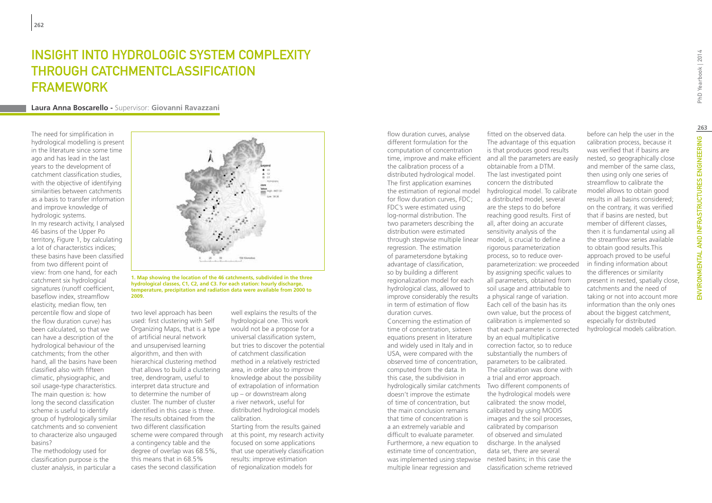### INSIGHT INTO HYDROLOGIC SYSTEM COMPLEXITY through catchmentclassification **FRAMEWORK**

#### **Laura Anna Boscarello -** Supervisor: **Giovanni Ravazzani**

The need for simplification in hydrological modelling is present in the literature since some time ago and has lead in the last years to the development of catchment classification studies, with the objective of identifying similarities between catchments as a basis to transfer information and improve knowledge of hydrologic systems.

In my research activity, I analysed 46 basins of the Upper Po territory, Figure 1, by calculating a lot of characteristics indices; these basins have been classified from two different point of view: from one hand, for each catchment six hydrological signatures (runoff coefficient, baseflow index, streamflow elasticity, median flow, ten percentile flow and slope of the flow duration curve) has been calculated, so that we can have a description of the hydrological behaviour of the catchments; from the other hand, all the basins have been classified also with fifteen climatic, physiographic, and soil usage-type characteristics. The main question is: how long the second classification scheme is useful to identify group of hydrologically similar catchments and so convenient to characterize also ungauged basins?

The methodology used for classification purpose is the cluster analysis, in particular a



#### **1. Map showing the location of the 46 catchments, subdivided in the three hydrological classes, C1, C2, and C3. For each station: hourly discharge, temperature, precipitation and radiation data were available from 2000 to 2009.**

two level approach has been used: first clustering with Self Organizing Maps, that is a type of artificial neural network and unsupervised learning algorithm, and then with hierarchical clustering method that allows to build a clustering tree, dendrogram, useful to interpret data structure and to determine the number of cluster. The number of cluster identified in this case is three. The results obtained from the two different classification scheme were compared through a contingency table and the degree of overlap was 68.5%, this means that in 68.5% cases the second classification

well explains the results of the hydrological one. This work would not be a propose for a universal classification system, but tries to discover the potential of catchment classification method in a relatively restricted area, in order also to improve knowledge about the possibility of extrapolation of information up – or downstream along a river network, useful for distributed hydrological models calibration. Starting from the results gained

at this point, my research activity focused on some applications that use operatively classification results: improve estimation of regionalization models for

flow duration curves, analyse different formulation for the computation of concentration the calibration process of a distributed hydrological model. The first application examines the estimation of regional model for flow duration curves, FDC; FDC's were estimated using log-normal distribution. The two parameters describing the distribution were estimated through stepwise multiple linear regression. The estimation of parametersdone bytaking advantage of classification, so by building a different regionalization model for each hydrological class, allowed to improve considerably the results in term of estimation of flow duration curves.

Concerning the estimation of time of concentration, sixteen equations present in literature and widely used in Italy and in USA, were compared with the observed time of concentration, computed from the data. In this case, the subdivision in doesn't improve the estimate of time of concentration, but the main conclusion remains that time of concentration is a an extremely variable and difficult to evaluate parameter. Furthermore, a new equation to estimate time of concentration, was implemented using stepwise nested basins; in this case the multiple linear regression and

time, improve and make efficient and all the parameters are easily hydrologically similar catchments Two different components of fitted on the observed data. The advantage of this equation is that produces good results obtainable from a DTM. The last investigated point concern the distributed hydrological model. To calibrate a distributed model, several are the steps to do before reaching good results. First of all, after doing an accurate sensitivity analysis of the model, is crucial to define a rigorous parameterization process, so to reduce overparameterization: we proceeded by assigning specific values to all parameters, obtained from soil usage and attributable to a physical range of variation. Each cell of the basin has its own value, but the process of calibration is implemented so that each parameter is corrected by an equal multiplicative correction factor, so to reduce substantially the numbers of parameters to be calibrated. The calibration was done with a trial and error approach. the hydrological models were calibrated: the snow model, calibrated by using MODIS images and the soil processes,

> calibrated by comparison of observed and simulated discharge. In the analysed data set, there are several

classification scheme retrieved

before can help the user in the calibration process, because it was verified that if basins are nested, so geographically close and member of the same class, then using only one series of streamflow to calibrate the model allows to obtain good results in all basins considered; on the contrary, it was verified that if basins are nested, but member of different classes, then it is fundamental using all the streamflow series available to obtain good results.This approach proved to be useful in finding information about the differences or similarity present in nested, spatially close, catchments and the need of taking or not into account more information than the only ones about the biggest catchment, especially for distributed hydrological models calibration.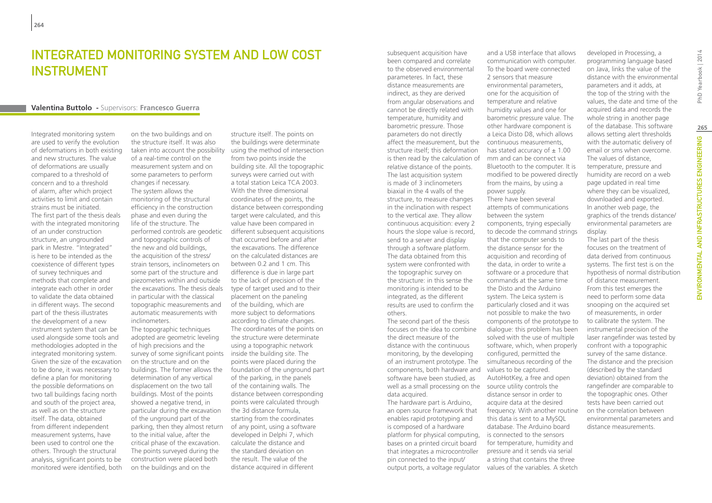### Integrated monitoring system and low cost **INSTRUMENT**

#### **Valentina Buttolo -** Supervisors: **Francesco Guerra**

Integrated monitoring system are used to verify the evolution of deformations in both existing and new structures. The value of deformations are usually compared to a threshold of concern and to a threshold of alarm, after which project activities to limit and contain strains must be initiated. The first part of the thesis deals with the integrated monitoring of an under construction structure, an ungrounded park in Mestre. "Integrated" is here to be intended as the coexistence of different types of survey techniques and methods that complete and integrate each other in order to validate the data obtained in different ways. The second part of the thesis illustrates the development of a new instrument system that can be used alongside some tools and methodologies adopted in the integrated monitoring system. Given the size of the excavation to be done, it was necessary to define a plan for monitoring the possible deformations on two tall buildings facing north and south of the project area, as well as on the structure itself. The data, obtained from different independent measurement systems, have been used to control one the others. Through the structural analysis, significant points to be monitored were identified, both

on the two buildings and on the structure itself. It was also taken into account the possibility using the method of intersection of a real-time control on the measurement system and on some parameters to perform changes if necessary. The system allows the monitoring of the structural efficiency in the construction phase and even during the life of the structure. The performed controls are geodetic and topographic controls of the new and old buildings, the acquisition of the stress/ strain tensors, inclinometers on some part of the structure and piezometers within and outside the excavations. The thesis deals in particular with the classical topographic measurements and automatic measurements with inclinometers.

The topographic techniques adopted are geometric leveling of high precisions and the survey of some significant points on the structure and on the buildings. The former allows the determination of any vertical displacement on the two tall buildings. Most of the points showed a negative trend, in particular during the excavation of the unground part of the parking, then they almost return of any point, using a software to the initial value, after the critical phase of the excavation. The points surveyed during the construction were placed both on the buildings and on the

structure itself. The points on the buildings were determinate from two points inside the building site. All the topographic surveys were carried out with a total station Leica TCA 2003. With the three dimensional coordinates of the points, the distance between corresponding target were calculated, and this value have been compared in different subsequent acquisitions that occurred before and after the excavations. The difference on the calculated distances are between 0.2 and 1 cm. This difference is due in large part to the lack of precision of the type of target used and to their placement on the paneling of the building, which are more subject to deformations according to climate changes. The coordinates of the points on the structure were determinate using a topographic network inside the building site. The points were placed during the foundation of the unground part of the parking, in the panels of the containing walls. The distance between corresponding points were calculated through the 3d distance formula, starting from the coordinates developed in Delphi 7, which calculate the distance and the standard deviation on the result. The value of the distance acquired in different

subsequent acquisition have been compared and correlate to the observed environmental parameteres. In fact, these distance measurements are indirect, as they are derived from angular observations and cannot be directly related with temperature, humidity and barometric pressure. Those parameters do not directly affect the measurement, but the continuous measurements, structure itself; this deformation is then read by the calculation of mm and can be connect via relative distance of the points. The last acquisition system is made of 3 inclinometers biaxial in the 4 walls of the structure, to measure changes in the inclination with respect to the vertical axe. They allow continuous acquisition: every 2 hours the slope value is record, send to a server and display through a software platform. The data obtained from this system were confronted with the topographic survey on the structure: in this sense the monitoring is intended to be integrated, as the different results are used to confirm the others. The second part of the thesis focuses on the idea to combine the direct measure of the distance with the continuous monitoring, by the developing of an instrument prototype. The components, both hardware and values to be captured. software have been studied, as well as a small processing on the source utility controls the

data acquired. The hardware part is Arduino, an open source framework that enables rapid prototyping and is composed of a hardware platform for physical computing, bases on a printed circuit board that integrates a microcontroller pin connected to the input/ output ports, a voltage regulator values of the variables. A sketch

and a USB interface that allows communication with computer. To the board were connected 2 sensors that measure environmental parameters one for the acquisition of temperature and relative humidity values and one for barometric pressure value. The other hardware component is a Leica Disto D8, which allows has stated accuracy of  $\pm$  1.00 Bluetooth to the computer. It is modified to be powered directly from the mains, by using a power supply. There have been several attempts of communications between the system components, trying especially to decode the command strings that the computer sends to the distance sensor for the acquisition and recording of the data, in order to write a software or a procedure that commands at the same time the Disto and the Arduino system. The Leica system is particularly closed and it was not possible to make the two components of the prototype to dialogue: this problem has been solved with the use of multiple software, which, when properly configured, permitted the simultaneous recording of the AutoHotKey, a free and open distance sensor in order to acquire data at the desired frequency. With another routine this data is sent to a MySQL database. The Arduino board is connected to the sensors for temperature, humidity and pressure and it sends via serial a string that contains the three

developed in Processing, a programming language based on Java, links the value of the distance with the environmental parameters and it adds, at the top of the string with the values, the date and time of the acquired data and records the whole string in another page of the database. This software allows setting alert thresholds with the automatic delivery of email or sms when overcome. The values of distance, temperature, pressure and humidity are record on a web page updated in real time where they can be visualized, downloaded and exported. In another web page, the graphics of the trends distance/ environmental parameters are display.

The last part of the thesis focuses on the treatment of data derived from continuous systems. The first test is on the hypothesis of normal distribution of distance measurement. From this test emerges the need to perform some data snooping on the acquired set of measurements, in order to calibrate the system. The instrumental precision of the laser rangefinder was tested by confront with a topographic survey of the same distance. The distance and the precision (described by the standard deviation) obtained from the rangefinder are comparable to the topographic ones. Other tests have been carried out on the correlation between environmental parameters and distance measurements.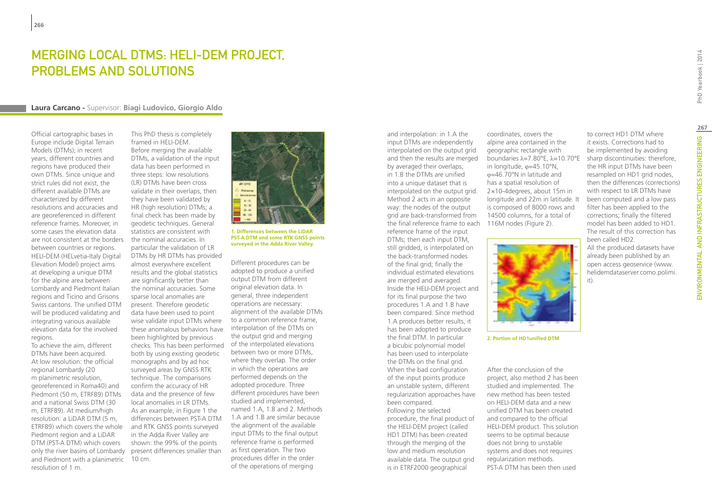### Merging Local DTMS: HELI-DEM project, problems and solutions

#### **Laura Carcano -** Supervisor: **Biagi Ludovico, Giorgio Aldo**

Official cartographic bases in Europe include Digital Terrain Models (DTMs); in recent years, different countries and regions have produced their own DTMs. Since unique and strict rules did not exist, the different available DTMs are characterized by different resolutions and accuracies and are georeferenced in different reference frames. Moreover, in some cases the elevation data are not consistent at the borders between countries or regions. HELI-DEM (HELvetia-Italy Digital Elevation Model) project aims at developing a unique DTM for the alpine area between Lombardy and Piedmont Italian regions and Ticino and Grisons Swiss cantons. The unified DTM will be produced validating and integrating various available elevation data for the involved regions.

To achieve the aim, different DTMs have been acquired. At low resolution: the official regional Lombardy (20 m planimetric resolution, georeferenced in Roma40) and Piedmont (50 m, ETRF89) DTMs and a national Swiss DTM (30 m, ETRF89). At medium/high resolution: a LiDAR DTM (5 m, ETRF89) which covers the whole Piedmont region and a LiDAR DTM (PST-A DTM) which covers only the river basins of Lombardy and Piedmont with a planimetric resolution of 1 m.

This PhD thesis is completely framed in HELI-DEM. Before merging the available DTMs, a validation of the input data has been performed in three steps: low resolutions (LR) DTMs have been cross validate in their overlaps, then they have been validated by HR (high resolution) DTMs; a final check has been made by geodetic techniques. General statistics are consistent with the nominal accuracies. In particular the validation of LR DTMs by HR DTMs has provided almost everywhere excellent results and the global statistics are significantly better than the nominal accuracies. Some sparse local anomalies are present. Therefore geodetic data have been used to point wise validate input DTMs where these anomalous behaviors have been highlighted by previous checks. This has been performed of the interpolated elevations both by using existing geodetic monographs and by ad hoc surveyed areas by GNSS RTK technique. The comparisons confirm the accuracy of HR data and the presence of few local anomalies in LR DTMs. As an example, in Figure 1 the differences between PST-A DTM and RTK GNSS points surveyed in the Adda River Valley are shown: the 99% of the points present differences smaller than 10 cm.



**1. Differences between the LiDAR PST-A DTM and some RTK GNSS points surveyed in the Adda River Valley.**

Different procedures can be adopted to produce a unified output DTM from different original elevation data. In general, three independent operations are necessary: alignment of the available DTMs to a common reference frame, interpolation of the DTMs on the output grid and merging between two or more DTMs, where they overlap. The order in which the operations are performed depends on the adopted procedure. Three different procedures have been studied and implemented, named 1.A, 1.B and 2. Methods 1.A and 1.B are similar because the alignment of the available input DTMs to the final output reference frame is performed as first operation. The two procedures differ in the order of the operations of merging

and interpolation: in 1.A the input DTMs are independently interpolated on the output grid and then the results are merged by averaged their overlaps; in 1.B the DTMs are unified into a unique dataset that is interpolated on the output grid. Method 2 acts in an opposite way: the nodes of the output grid are back-transformed from the final reference frame to each 116M nodes (Figure 2). reference frame of the input DTMs; then each input DTM, still gridded, is interpolated on the back-transformed nodes of the final grid; finally the individual estimated elevations are merged and averaged. Inside the HELI-DEM project and for its final purpose the two procedures 1.A and 1.B have been compared. Since method 1.A produces better results, it has been adopted to produce the final DTM. In particular a bicubic polynomial model has been used to interpolate the DTMs on the final grid. When the bad configuration of the input points produce an unstable system, different regularization approaches have been compared. Following the selected procedure, the final product of the HELI-DEM project (called HD1 DTM) has been created through the merging of the low and medium resolution available data. The output grid is in ETRF2000 geographical

coordinates, covers the alpine area contained in the geographic rectangle with boundaries λ=7.80°E, λ=10.70°E in longitude, φ=45.10°N, φ=46.70°N in latitude and has a spatial resolution of 2×10-4degrees, about 15m in longitude and 22m in latitude. It is composed of 8000 rows and 14500 columns, for a total of



**2. Portion of HD1unified DTM**

After the conclusion of the project, also method 2 has been studied and implemented. The new method has been tested on HELI-DEM data and a new unified DTM has been created and compared to the official HELI-DEM product. This solution seems to be optimal because does not bring to unstable systems and does not requires regularization methods. PST-A DTM has been then used

to correct HD1 DTM where it exists. Corrections had to be implemented by avoiding sharp discontinuities: therefore, the HR input DTMs have been resampled on HD1 grid nodes, then the differences (corrections) with respect to LR DTMs have been computed and a low pass filter has been applied to the corrections; finally the filtered model has been added to HD1. The result of this correction has been called HD2.

All the produced datasets have already been published by an open access geoservice (www. helidemdataserver.como.polimi. it).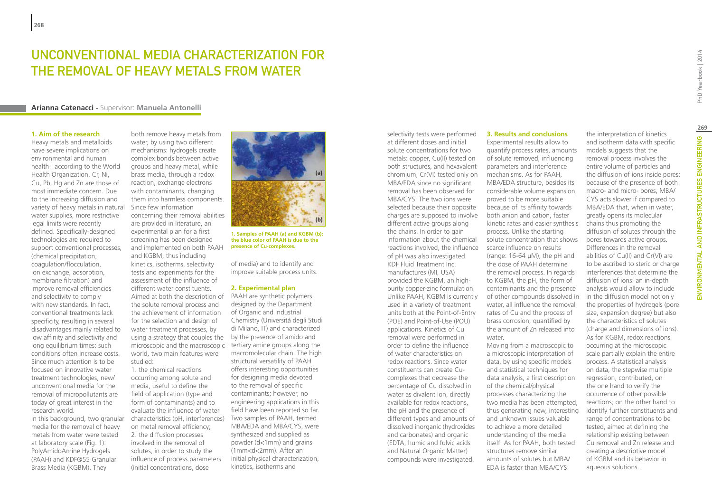### UNCONVENTIONAL MEDIA CHARACTERIZATION FOR THE REMOVAL OF HEAVY METALS FROM WATER

#### **Arianna Catenacci -** Supervisor: **Manuela Antonelli**

#### **1. Aim of the research**

Heavy metals and metalloids have severe implications on environmental and human health: according to the World Health Organization, Cr, Ni, Cu, Pb, Hg and Zn are those of most immediate concern. Due to the increasing diffusion and variety of heavy metals in natural water supplies, more restrictive legal limits were recently defined. Specifically-designed technologies are required to support conventional processes, (chemical precipitation, coagulation/flocculation, ion exchange, adsorption, membrane filtration) and improve removal efficiencies and selectivity to comply with new standards. In fact, conventional treatments lack specificity, resulting in several disadvantages mainly related to low affinity and selectivity and long equilibrium times: such conditions often increase costs. Since much attention is to be focused on innovative water treatment technologies, new/ unconventional media for the removal of micropollutants are today of great interest in the research world.

In this background, two granular media for the removal of heavy metals from water were tested at laboratory scale (Fig. 1): PolyAmidoAmine Hydrogels (PAAH) and KDF®55 Granular Brass Media (KGBM). They

both remove heavy metals from water, by using two different mechanisms: hydrogels create complex bonds between active groups and heavy metal, while brass media, through a redox reaction, exchange electrons with contaminants, changing them into harmless components. Since few information concerning their removal abilities are provided in literature, an experimental plan for a first screening has been designed and implemented on both PAAH and KGBM, thus including kinetics, isotherms, selectivity tests and experiments for the assessment of the influence of different water constituents. Aimed at both the description of the solute removal process and the achievement of information for the selection and design of water treatment processes, by using a strategy that couples the microscopic and the macroscopic tertiary amine groups along the world, two main features were studied:

1. the chemical reactions occurring among solute and media, useful to define the field of application (type and form of contaminants) and to evaluate the influence of water characteristics (pH, interferences) Two samples of PAAH, termed on metal removal efficiency; 2. the diffusion processes involved in the removal of solutes, in order to study the influence of process parameters (initial concentrations, dose



**1. Samples of PAAH (a) and KGBM (b): the blue color of PAAH is due to the presence of Cu-complexes.**

of media) and to identify and improve suitable process units.

#### **2. Experimental plan**

PAAH are synthetic polymers designed by the Department of Organic and Industrial Chemistry (Università degli Studi di Milano, IT) and characterized by the presence of amido and macromolecular chain. The high structural versatility of PAAH offers interesting opportunities for designing media devoted to the removal of specific contaminants; however, no engineering applications in this field have been reported so far. MBA/EDA and MBA/CYS, were synthesized and supplied as powder (d<1mm) and grains (1mm<d<2mm). After an initial physical characterization, kinetics, isotherms and

selectivity tests were performed at different doses and initial solute concentrations for two metals: copper, Cu(II) tested on both structures, and hexavalent chromium, Cr(VI) tested only on MBA/EDA since no significant removal has been observed for MBA/CYS. The two ions were selected because their opposite charges are supposed to involve different active groups along the chains. In order to gain information about the chemical reactions involved, the influence of pH was also investigated. KDF Fluid Treatment Inc. manufactures (MI, USA) provided the KGBM, an highpurity copper-zinc formulation. Unlike PAAH, KGBM is currently used in a variety of treatment units both at the Point-of-Entry (POE) and Point-of-Use (POU) applications. Kinetics of Cu removal were performed in order to define the influence of water characteristics on redox reactions. Since water constituents can create Cucomplexes that decrease the percentage of Cu dissolved in water as divalent ion, directly available for redox reactions, the pH and the presence of different types and amounts of dissolved inorganic (hydroxides and carbonates) and organic (EDTA, humic and fulvic acids and Natural Organic Matter) compounds were investigated.

Experimental results allow to quantify process rates, amounts of solute removed, influencing parameters and interference mechanisms. As for PAAH, MBA/EDA structure, besides its considerable volume expansion, proved to be more suitable because of its affinity towards both anion and cation, faster kinetic rates and easier synthesis process. Unlike the starting solute concentration that shows scarce influence on results (range: 16-64 µM), the pH and the dose of PAAH determine the removal process. In regards to KGBM, the pH, the form of contaminants and the presence of other compounds dissolved in water, all influence the removal rates of Cu and the process of brass corrosion, quantified by the amount of Zn released into water. Moving from a macroscopic to a microscopic interpretation of data, by using specific models and statistical techniques for

**3. Results and conclusions**

data analysis, a first description of the chemical/physical processes characterizing the two media has been attempted, thus generating new, interesting and unknown issues valuable to achieve a more detailed understanding of the media itself. As for PAAH, both tested structures remove similar amounts of solutes but MBA/ EDA is faster than MBA/CYS:

the interpretation of kinetics and isotherm data with specific models suggests that the removal process involves the entire volume of particles and the diffusion of ions inside pores: because of the presence of both macro- and micro- pores, MBA/ CYS acts slower if compared to MBA/EDA that, when in water, greatly opens its molecular chains thus promoting the diffusion of solutes through the pores towards active groups. Differences in the removal abilities of Cu(II) and Cr(VI) are to be ascribed to steric or charge interferences that determine the diffusion of ions: an in-depth analysis would allow to include in the diffusion model not only the properties of hydrogels (pore size, expansion degree) but also the characteristics of solutes (charge and dimensions of ions). As for KGBM, redox reactions occurring at the microscopic scale partially explain the entire process. A statistical analysis on data, the stepwise multiple regression, contributed, on the one hand to verify the occurrence of other possible reactions; on the other hand to identify further constituents and range of concentrations to be tested, aimed at defining the

relationship existing between Cu removal and Zn release and creating a descriptive model of KGBM and its behavior in

aqueous solutions.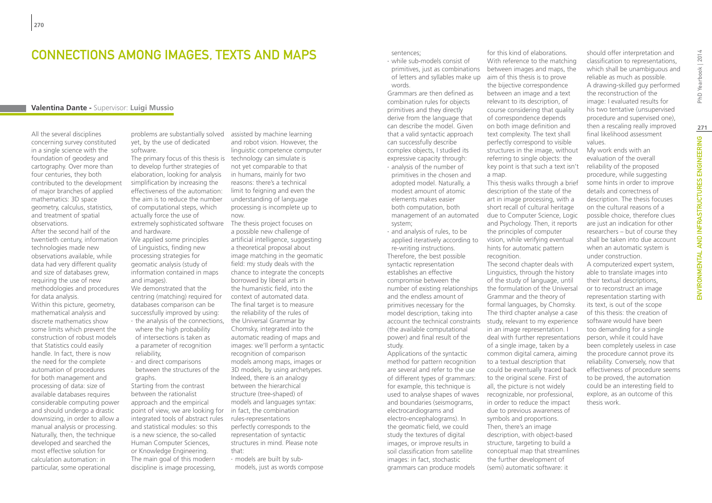### Connections among images, texts and maps

### **Valentina Dante -** Supervisor: **Luigi Mussio**

All the several disciplines concerning survey constituted in a single science with the foundation of geodesy and cartography. Over more than four centuries, they both contributed to the development of major branches of applied mathematics: 3D space geometry, calculus, statistics, and treatment of spatial observations.

After the second half of the twentieth century, information technologies made new observations available, while data had very different quality and size of databases grew, requiring the use of new methodologies and procedures for data analysis.

Within this picture, geometry, mathematical analysis and discrete mathematics show some limits which prevent the construction of robust models that Statistics could easily handle. In fact, there is now the need for the complete automation of procedures for both management and processing of data: size of available databases requires considerable computing power and should undergo a drastic downsizing, in order to allow a manual analysis or processing. Naturally, then, the technique developed and searched the most effective solution for calculation automation: in particular, some operational

problems are substantially solved yet, by the use of dedicated software.

The primary focus of this thesis is technology can simulate is to develop further strategies of elaboration, looking for analysis simplification by increasing the effectiveness of the automation: the aim is to reduce the number of computational steps, which actually force the use of extremely sophisticated software and hardware.

We applied some principles of Linguistics, finding new processing strategies for geomatic analysis (study of information contained in maps and images).

We demonstrated that the centring (matching) required for databases comparison can be successfully improved by using: ∙ the analysis of the connections, where the high probability of intersections is taken as a parameter of recognition reliability,

∙ and direct comparisons between the structures of the graphs.

Starting from the contrast between the rationalist approach and the empirical point of view, we are looking for in fact, the combination integrated tools of abstract rules and statistical modules: so this is a new science, the so-called Human Computer Sciences, or Knowledge Engineering. The main goal of this modern discipline is image processing,

assisted by machine learning and robot vision. However, the linguistic competence computer not yet comparable to that in humans, mainly for two reasons: there's a technical limit to feigning and even the understanding of language processing is incomplete up to now.

The thesis project focuses on a possible new challenge of artificial intelligence, suggesting a theoretical proposal about image matching in the geomatic field: my study deals with the chance to integrate the concepts borrowed by liberal arts in the humanistic field, into the context of automated data. The final target is to measure the reliability of the rules of the Universal Grammar by Chomsky, integrated into the automatic reading of maps and images: we'll perform a syntactic recognition of comparison models among maps, images or 3D models, by using archetypes. Indeed, there is an analogy between the hierarchical structure (tree-shaped) of models and languages syntax: rules-representations perfectly corresponds to the representation of syntactic structures in mind. Please note that:

∙ models are built by submodels, just as words compose sentences;

∙ while sub-models consist of primitives, just as combinations of letters and syllables make up words.

Grammars are then defined as combination rules for objects primitives and they directly derive from the language that can describe the model. Given that a valid syntactic approach can successfully describe complex objects, I studied its expressive capacity through: ∙ analysis of the number of primitives in the chosen and adopted model. Naturally, a modest amount of atomic elements makes easier both computation, both management of an automated system;

∙ and analysis of rules, to be applied iteratively according to re-writing instructions. Therefore, the best possible syntactic representation establishes an effective compromise between the number of existing relationships and the endless amount of primitives necessary for the model description, taking into account the technical constraints (the available computational power) and final result of the study.

Applications of the syntactic method for pattern recognition are several and refer to the use of different types of grammars: for example, this technique is used to analyse shapes of waves and boundaries (seismograms, electrocardiograms and electro-encephalograms). In the geomatic field, we could study the textures of digital images, or improve results in soil classification from satellite images: in fact, stochastic grammars can produce models

for this kind of elaborations. With reference to the matching between images and maps, the aim of this thesis is to prove the bijective correspondence between an image and a text relevant to its description, of course considering that quality of correspondence depends on both image definition and text complexity. The text shall perfectly correspond to visible structures in the image, without referring to single objects: the key point is that such a text isn't a map.

This thesis walks through a brief description of the state of the art in image processing, with a short recall of cultural heritage due to Computer Science, Logic and Psychology. Then, it reports the principles of computer vision, while verifying eventual hints for automatic pattern

recognition. The second chapter deals with Linguistics, through the history of the study of language, until the formulation of the Universal Grammar and the theory of formal languages, by Chomsky. The third chapter analyse a case study, relevant to my experience in an image representation. I deal with further representations of a single image, taken by a common digital camera, aiming to a textual description that could be eventually traced back to the original scene. First of all, the picture is not widely recognizable, nor professional, in order to reduce the impact due to previous awareness of symbols and proportions. Then, there's an image description, with object-based structure, targeting to build a conceptual map that streamlines the further development of (semi) automatic software: it

should offer interpretation and classification to representations, which shall be unambiguous and reliable as much as possible. A drawing-skilled guy performed the reconstruction of the image: I evaluated results for his two tentative (unsupervised procedure and supervised one), then a rescaling really improved final likelihood assessment values.

My work ends with an evaluation of the overall reliability of the proposed procedure, while suggesting some hints in order to improve details and correctness of description. The thesis focuses on the cultural reasons of a possible choice, therefore clues are just an indication for other researchers – but of course they shall be taken into due account when an automatic system is under construction. A computerized expert system, able to translate images into their textual descriptions, or to reconstruct an image representation starting with its text, is out of the scope of this thesis: the creation of software would have been too demanding for a single person, while it could have been completely useless in case the procedure cannot prove its reliability. Conversely, now that effectiveness of procedure seems to be proved, the automation could be an interesting field to explore, as an outcome of this thesis work.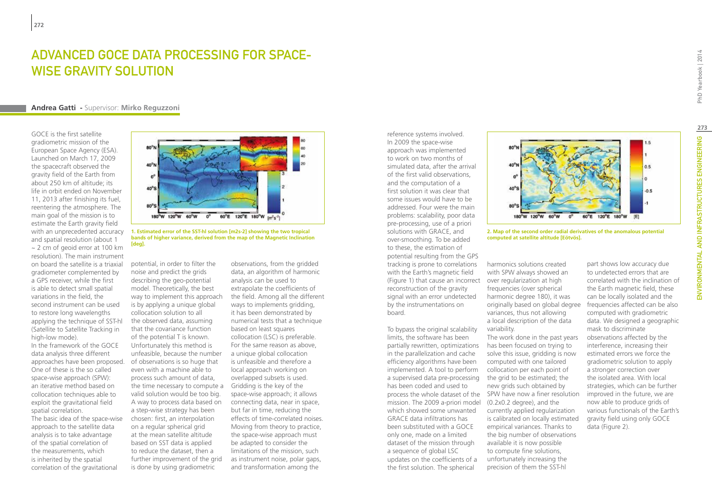### ADVANCED GOCE DATA PROCESSING FOR SPACE-WISE GRAVITY SOLUTION

#### **Andrea Gatti -** Supervisor: **Mirko Reguzzoni**

GOCE is the first satellite gradiometric mission of the European Space Agency (ESA). Launched on March 17, 2009 the spacecraft observed the gravity field of the Earth from about 250 km of altitude; its life in orbit ended on November 11, 2013 after finishing its fuel, reentering the atmosphere. The main goal of the mission is to estimate the Earth gravity field with an unprecedented accuracy and spatial resolution (about 1 ~ 2 cm of geoid error at 100 km resolution). The main instrument on board the satellite is a triaxial gradiometer complemented by a GPS receiver, while the first is able to detect small spatial variations in the field, the second instrument can be used to restore long wavelengths applying the technique of SST-hl (Satellite to Satellite Tracking in high-low mode).

In the framework of the GOCE data analysis three different approaches have been proposed. One of these is the so called space-wise approach (SPW): an iterative method based on collocation techniques able to exploit the gravitational field spatial correlation.

The basic idea of the space-wise approach to the satellite data analysis is to take advantage of the spatial correlation of the measurements, which is inherited by the spatial correlation of the gravitational



**1. Estimated error of the SST-hl solution [m2s-2] showing the two tropical bands of higher variance, derived from the map of the Magnetic Inclination [deg].**

potential, in order to filter the noise and predict the grids describing the geo-potential model. Theoretically, the best way to implement this approach is by applying a unique global collocation solution to all the observed data, assuming that the covariance function of the potential T is known. Unfortunately this method is unfeasible, because the number of observations is so huge that even with a machine able to process such amount of data, the time necessary to compute a Gridding is the key of the valid solution would be too big. A way to process data based on a step-wise strategy has been chosen: first, an interpolation on a regular spherical grid at the mean satellite altitude based on SST data is applied to reduce the dataset, then a further improvement of the grid is done by using gradiometric

observations, from the gridded data, an algorithm of harmonic analysis can be used to extrapolate the coefficients of the field. Among all the different ways to implements gridding, it has been demonstrated by numerical tests that a technique based on least squares collocation (LSC) is preferable. For the same reason as above, a unique global collocation is unfeasible and therefore a local approach working on overlapped subsets is used. space-wise approach; it allows connecting data, near in space, but far in time, reducing the effects of time-correlated noises. Moving from theory to practice, the space-wise approach must be adapted to consider the limitations of the mission, such as instrument noise, polar gaps, and transformation among the

In 2009 the space-wise approach was implemented to work on two months of simulated data, after the arrival of the first valid observations, and the computation of a first solution it was clear that some issues would have to be addressed. Four were the main problems: scalability, poor data pre-processing, use of a priori solutions with GRACE, and over-smoothing. To be added to these, the estimation of potential resulting from the GPS tracking is prone to correlations with the Earth's magnetic field (Figure 1) that cause an incorrect over regularization at high reconstruction of the gravity signal with an error undetected by the instrumentations on board.

reference systems involved.

To bypass the original scalability limits, the software has been partially rewritten, optimizations in the parallelization and cache efficiency algorithms have been implemented. A tool to perform a supervised data pre-processing the grid to be estimated; the has been coded and used to mission. The 2009 a-priori model (0.2x0.2 degree), and the which showed some unwanted GRACE data infiltrations has been substituted with a GOCE only one, made on a limited dataset of the mission through a sequence of global LSC updates on the coefficients of a the first solution. The spherical



**2. Map of the second order radial derivatives of the anomalous potential computed at satellite altitude [Eötvös].**

harmonics solutions created with SPW always showed an frequencies (over spherical harmonic degree 180), it was originally based on global degree variances, thus not allowing a local description of the data variability.

process the whole dataset of the SPW have now a finer resolution The work done in the past years has been focused on trying to solve this issue, gridding is now computed with one tailored collocation per each point of new grids such obtained by currently applied regularization is calibrated on locally estimated empirical variances. Thanks to the big number of observations available it is now possible to compute fine solutions, unfortunately increasing the precision of them the SST-hl

part shows low accuracy due to undetected errors that are correlated with the inclination of the Earth magnetic field, these can be locally isolated and the frequencies affected can be also computed with gradiometric data. We designed a geographic mask to discriminate observations affected by the interference, increasing their estimated errors we force the gradiometric solution to apply a stronger correction over the isolated area. With local strategies, which can be further improved in the future, we are now able to produce grids of various functionals of the Earth's gravity field using only GOCE data (Figure 2).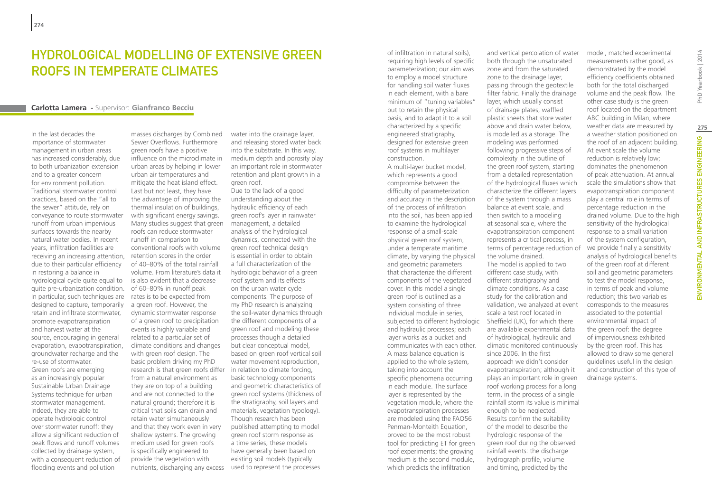### HYDROLOGICAL MODELLING OF EXTENSIVE GREEN ROOFS IN TEMPERATE CLIMATES

#### **Carlotta Lamera -** Supervisor: **Gianfranco Becciu**

In the last decades the importance of stormwater management in urban areas has increased considerably, due to both urbanization extension and to a greater concern for environment pollution. Traditional stormwater control practices, based on the "all to the sewer" attitude, rely on conveyance to route stormwater runoff from urban impervious surfaces towards the nearby natural water bodies. In recent years, infiltration facilities are receiving an increasing attention, due to their particular efficiency in restoring a balance in hydrological cycle quite equal to quite pre-urbanization condition. In particular, such techniques are designed to capture, temporarily retain and infiltrate stormwater, promote evapotranspiration and harvest water at the source, encouraging in general evaporation, evapotranspiration, groundwater recharge and the re-use of stormwater. Green roofs are emerging as an increasingly popular Sustainable Urban Drainage Systems technique for urban stormwater management. Indeed, they are able to operate hydrologic control over stormwater runoff: they allow a significant reduction of peak flows and runoff volumes collected by drainage system, with a consequent reduction of flooding events and pollution

masses discharges by Combined Sewer Overflows. Furthermore green roofs have a positive influence on the microclimate in urban areas by helping in lower urban air temperatures and mitigate the heat island effect. Last but not least, they have the advantage of improving the thermal insulation of buildings, with significant energy savings. Many studies suggest that green roofs can reduce stormwater runoff in comparison to conventional roofs with volume retention scores in the order of 40–80% of the total rainfall volume. From literature's data it is also evident that a decrease of 60–80% in runoff peak rates is to be expected from a green roof. However, the dynamic stormwater response of a green roof to precipitation events is highly variable and related to a particular set of climate conditions and changes with green roof design. The basic problem driving my PhD research is that green roofs differ in relation to climate forcing, from a natural environment as they are on top of a building and are not connected to the natural ground; therefore it is critical that soils can drain and retain water simultaneously and that they work even in very shallow systems. The growing medium used for green roofs is specifically engineered to provide the vegetation with

water into the drainage layer, and releasing stored water back into the substrate. In this way, medium depth and porosity play an important role in stormwater retention and plant growth in a green roof.

nutrients, discharging any excess used to represent the processes Due to the lack of a good understanding about the hydraulic efficiency of each green roof's layer in rainwater management, a detailed analysis of the hydrological dynamics, connected with the green roof technical design is essential in order to obtain a full characterization of the hydrologic behavior of a green roof system and its effects on the urban water cycle components. The purpose of my PhD research is analyzing the soil-water dynamics through the different components of a green roof and modeling these processes though a detailed but clear conceptual model, based on green roof vertical soil water movement reproduction, basic technology components and geometric characteristics of green roof systems (thickness of the stratigraphy, soil layers and materials, vegetation typology). Though research has been published attempting to model green roof storm response as a time series, these models have generally been based on existing soil models (typically

of infiltration in natural soils), requiring high levels of specific parameterization; our aim was to employ a model structure for handling soil water fluxes in each element, with a bare minimum of "tuning variables" but to retain the physical basis, and to adapt it to a soil characterized by a specific engineered stratigraphy, designed for extensive green roof systems in multilayer construction. A multi-layer bucket model,

which represents a good compromise between the difficulty of parameterization and accuracy in the description of the process of infiltration into the soil, has been applied to examine the hydrological response of a small-scale physical green roof system, under a temperate maritime climate, by varying the physical and geometric parameters that characterize the different components of the vegetated cover. In this model a single green roof is outlined as a system consisting of three individual module in series, subjected to different hydrologic Sheffield (UK), for which there and hydraulic processes; each layer works as a bucket and communicates with each other. A mass balance equation is applied to the whole system, taking into account the specific phenomena occurring in each module. The surface layer is represented by the vegetation module, where the evapotranspiration processes are modeled using the FAO56 Penman-Monteith Equation, proved to be the most robust tool for predicting ET for green roof experiments; the growing medium is the second module, which predicts the infiltration

and vertical percolation of water both through the unsaturated zone and from the saturated zone to the drainage layer, passing through the geotextile filter fabric. Finally the drainage layer, which usually consist of drainage plates, waffled plastic sheets that store water above and drain water below, is modelled as a storage. The modeling was performed following progressive steps of complexity in the outline of the green roof system, starting from a detailed representation of the hydrological fluxes which characterize the different layers of the system through a mass balance at event scale, and then switch to a modeling at seasonal scale, where the evapotranspiration component represents a critical process, in terms of percentage reduction of the volume drained. The model is applied to two different case study, with different stratigraphy and climate conditions. As a case study for the calibration and validation, we analyzed at event scale a test roof located in are available experimental data of hydrological, hydraulic and climatic monitored continuously since 2006. In the first approach we didn't consider evapotranspiration; although it plays an important role in green roof working process for a long term, in the process of a single rainfall storm its value is minimal enough to be neglected. Results confirm the suitability of the model to describe the hydrologic response of the green roof during the observed rainfall events: the discharge hydrograph profile, volume and timing, predicted by the

model, matched experimental measurements rather good, as demonstrated by the model efficiency coefficients obtained both for the total discharged volume and the peak flow. The other case study is the green roof located on the department ABC building in Milan, where weather data are measured by a weather station positioned on the roof of an adjacent building. At event scale the volume reduction is relatively low; dominates the phenomenon of peak attenuation. At annual scale the simulations show that evapotranspiration component play a central role in terms of percentage reduction in the drained volume. Due to the high sensitivity of the hydrological response to a small variation of the system configuration, we provide finally a sensitivity analysis of hydrological benefits of the green roof at different soil and geometric parameters to test the model response, in terms of peak and volume reduction; this two variables corresponds to the measures associated to the potential environmental impact of the green roof: the degree of imperviousness exhibited by the green roof. This has allowed to draw some general guidelines useful in the design and construction of this type of drainage systems.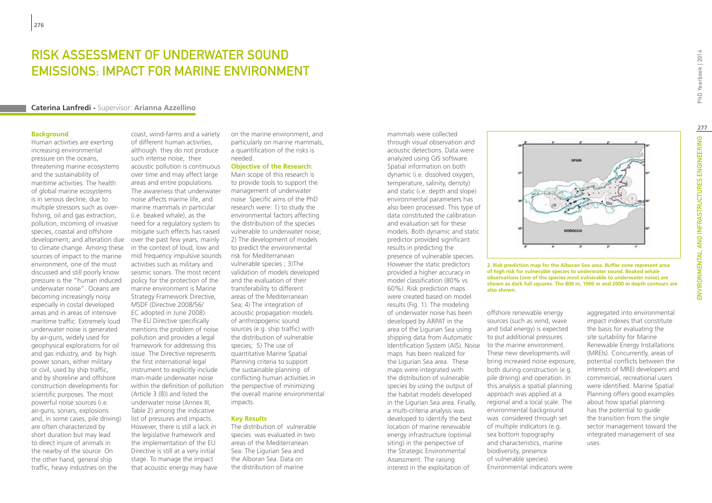### RISK ASSESSMENT OF UNDERWATER SOUND EMISSIONS: IMPACT FOR MARINE ENVIRONMENT

#### **Caterina Lanfredi -** Supervisor: **Arianna Azzellino**

#### **Background**

Human activities are exerting increasing environmental pressure on the oceans, threatening marine ecosystems and the sustainability of maritime activities. The health of global marine ecosystems is in serious decline, due to multiple stressors such as overfishing, oil and gas extraction, pollution, incoming of invasive species, coastal and offshore development, and alteration due to climate change. Among these sources of impact to the marine environment, one of the must discussed and still poorly know pressure is the "human induced underwater noise". Oceans are becoming increasingly noisy especially in costal developed areas and in areas of intensive maritime traffic. Extremely loud underwater noise is generated by air-guns, widely used for geophysical explorations for oil and gas industry, and by high power sonars, either military or civil, used by ship traffic, and by shoreline and offshore construction developments for scientific purposes. The most powerful noise sources (i.e. air-guns, sonars, explosions and, in some cases, pile driving) are often characterized by short duration but may lead to direct injure of animals in the nearby of the source. On the other hand, general ship traffic, heavy industries on the

coast, wind-farms and a variety of different human activities, although they do not produce such intense noise, their acoustic pollution is continuous over time and may affect large areas and entire populations. The awareness that underwater noise affects marine life, and marine mammals in particular (i.e. beaked whale), as the need for a regulatory system to mitigate such effects has raised over the past few years, mainly in the context of loud, low and mid frequency impulsive sounds activities such as military and seismic sonars. The most recent policy for the protection of the marine environment is Marine Strategy Framework Directive, MSDF (Directive 2008/56/ EC adopted in June 2008). The EU Directive specifically mentions the problem of noise pollution and provides a legal framework for addressing this issue. The Directive represents the first international legal instrument to explicitly include man-made underwater noise within the definition of pollution (Article 3 (8)) and listed the underwater noise (Annex III, Table 2) among the indicative list of pressures and impacts. However, there is still a lack in the legislative framework and the implementation of the EU Directive is still at a very initial stage. To manage the impact that acoustic energy may have

on the marine environment, and particularly on marine mammals, a quantification of the risks is needed.

**Objective of the Research:** Main scope of this research is to provide tools to support the management of underwater noise Specific aims of the PhD research were: 1) to study the environmental factors affecting the distribution of the species vulnerable to underwater noise; 2) The development of models to predict the environmental risk for Mediterranean vulnerable species ; 3)The validation of models developed and the evaluation of their transferability to different areas of the Mediterranean Sea; 4) The integration of acoustic propagation models of anthropogenic sound sources (e.g. ship traffic) with the distribution of vulnerable species; 5) The use of quantitative Marine Spatial Planning criteria to support the sustainable planning of conflicting human activities in the perspective of minimizing the overall marine environmental impacts.

#### **Key Results**

The distribution of vulnerable species was evaluated in two areas of the Mediterranean Sea: The Ligurian Sea and the Alboran Sea. Data on the distribution of marine

mammals were collected through visual observation and acoustic detections. Data were analyzed using GIS software. Spatial information on both dynamic (i.e. dissolved oxygen, temperature, salinity, density) and static (i.e. depth and slope) environmental parameters has also been processed. This type of data constituted the calibration and evaluation set for these models. Both dynamic and static predictor provided significant results in predicting the presence of vulnerable species. However the static predictors provided a higher accuracy in model classification (80% vs 60%). Risk prediction maps were created based on model results (Fig. 1). The modeling of underwater noise has been developed by ARPAT in the area of the Ligurian Sea using shipping data from Automatic Identification System (AIS). Noise to the marine environment. maps has been realized for the Ligurian Sea area. These maps were integrated with the distribution of vulnerable species by using the output of the habitat models developed in the Ligurian Sea area. Finally, a multi-criteria analysis was developed to identify the best location of marine renewable energy infrastructure (optimal siting) in the perspective of the Strategic Environmental Assessment. The raising interest in the exploitation of



**2. Risk prediction map for the Alboran Sea area. Buffer zone represent area of high risk for vulnerable species to underwater sound. Beaked whale observations (one of the species most vulnerable to underwater noise) are shown as dark full squares. The 800 m, 1000 m and 2000 m depth contours are also shown.**

offshore renewable energy sources (such as wind, wave and tidal energy) is expected to put additional pressures These new developments will bring increased noise exposure, both during construction (e.g. pile driving) and operation. In this analysis a spatial planning approach was applied at a regional and a local scale. The environmental background was considered through set of multiple indicators (e.g. sea bottom topography and characteristics, marine biodiversity, presence of vulnerable species). Environmental indicators were

aggregated into environmental impact indexes that constitute the basis for evaluating the site suitability for Marine Renewable Energy Installations (MREIs). Concurrently, areas of potential conflicts between the interests of MREI developers and commercial, recreational users were identified. Marine Spatial Planning offers good examples about how spatial planning has the potential to guide the transition from the single sector management toward the integrated management of sea uses.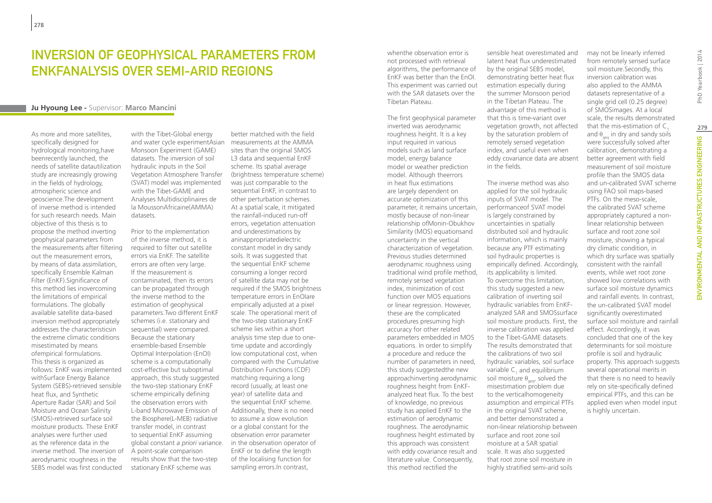### Inversion of geophysical parameters from EnKFanalysis over semi-arid regions

#### **Ju Hyoung Lee -** Supervisor: **Marco Mancini**

As more and more satellites specifically designed for hydrological monitoring,have beenrecently launched, the needs of satellite datautilization study are increasingly growing in the fields of hydrology, atmospheric science and geoscience.The development of inverse method is intended for such research needs. Main objective of this thesis is to propose the method inverting geophysical parameters from the measurements after filtering out the measurement errors, by means of data assimilation, specifically Ensemble Kalman Filter (EnKF).Significance of this method lies inovercoming the limitations of empirical formulations. The globally available satellite data-based inversion method appropriately addresses the characteristicsin the extreme climatic conditions misestimated by means ofempirical formulations. This thesis is organized as follows: EnKF was implemented withSurface Energy Balance System (SEBS)-retrieved sensible heat flux, and Synthetic Aperture Radar (SAR) and Soil Moisture and Ocean Salinity (SMOS)-retrieved surface soil moisture products. These EnKF analyses were further used as the reference data in the inverse method. The inversion of aerodynamic roughness in the SEBS model was first conducted

with the Tibet-Global energy and water cycle experimentAsian Monsoon Experiment (GAME) datasets. The inversion of soil hydraulic inputs in the Soil Vegetation Atmosphere Transfer (SVAT) model was implemented with the Tibet-GAME and Analyses Multidisciplinaires de la MoussonAfricaine(AMMA) datasets.

Prior to the implementation of the inverse method, it is required to filter out satellite errors via EnKF. The satellite errors are often very large. If the measurement is contaminated, then its errors can be propagated through the inverse method to the estimation of geophysical parameters.Two different EnKF schemes (i.e. stationary and sequential) were compared. Because the stationary ensemble-based Ensemble Optimal Interpolation (EnOI) scheme is a computationally cost-effective but suboptimal approach, this study suggested the two-step stationary EnKF scheme empirically defining the observation errors with L-band Microwave Emission of the Biosphere(L-MEB) radiative transfer model, in contrast to sequential EnKF assuming global constant *a priori* variance. A point-scale comparison results show that the two-step stationary EnKF scheme was

better matched with the field measurements at the AMMA sites than the original SMOS L3 data and sequential EnKF scheme. Its spatial average (brightness temperature scheme) was just comparable to the sequential EnKF, in contrast to other perturbation schemes. At a spatial scale, it mitigated the rainfall-induced run-off errors, vegetation attenuation and underestimations by aninappropriatedielectric constant model in dry sandy soils. It was suggested that the sequential EnKF scheme consuming a longer record of satellite data may not be required if the SMOS brightness temperature errors in EnOIare empirically adjusted at a pixel scale. The operational merit of the two-step stationary EnKF scheme lies within a short analysis time step due to onetime update and accordingly low computational cost, when compared with the Cumulative Distribution Functions (CDF) matching requiring a long record (usually, at least one year) of satellite data and the sequential EnKF scheme. Additionally, there is no need to assume a slow evolution or a global constant for the observation error parameter in the observation operator of EnKF or to define the length of the localising function for sampling errors.In contrast,

whenthe observation error is not processed with retrieval algorithms, the performance of EnKF was better than the EnOI. This experiment was carried out with the SAR datasets over the Tibetan Plateau.

The first geophysical parameter inverted was aerodynamic roughness height. It is a key input required in various models such as land surface model, energy balance model or weather prediction model. Although theerrors in heat flux estimations are largely dependent on accurate optimization of this parameter, it remains uncertain, mostly because of non-linear relationship ofMonin-Obukhov Similarity (MOS) equationsand uncertainty in the vertical characterization of vegetation. Previous studies determined aerodynamic roughness using traditional wind profile method, remotely sensed vegetation index, minimization of cost function over MOS equations or linear regression. However, these are the complicated procedures presuming high accuracy for other related parameters embedded in MOS equations. In order to simplify a procedure and reduce the number of parameters in need, this study suggestedthe new approachinverting aerodynamic roughness height from EnKFanalyzed heat flux. To the best of knowledge, no previous study has applied EnKF to the estimation of aerodynamic roughness. The aerodynamic roughness height estimated by this approach was consistent with eddy covariance result and literature value. Consequently, this method rectified the

sensible heat overestimated and latent heat flux underestimated by the original SEBS model, demonstrating better heat flux estimation especially during the summer Monsoon period in the Tibetan Plateau. The advantage of this method is that this is time-variant over vegetation growth, not affected by the saturation problem of remotely sensed vegetation index, and useful even when eddy covariance data are absent in the fields.

The inverse method was also applied for the soil hydraulic inputs of SVAT model. The performanceof SVAT model is largely constrained by uncertainties in spatially distributed soil and hydraulic information, which is mainly because any PTF estimating soil hydraulic properties is empirically defined. Accordingly, its applicability is limited. To overcome this limitation, this study suggested a new calibration of inverting soil hydraulic variables from EnKFanalyzed SAR and SMOSsurface soil moisture products. First, the inverse calibration was applied to the Tibet-GAME datasets. The results demonstrated that the calibrations of two soil hydraulic variables, soil surface variable  $\mathsf{C}_1$  and equilibrium soil moisture  $\theta_{\text{neq}}$ , solved the misestimation problem due to the verticalhomogeneity assumption and empirical PTFs in the original SVAT scheme. and better demonstrated a non-linear relationship between surface and root zone soil moisture at a SAR spatial scale. It was also suggested that root zone soil moisture in highly stratified semi-arid soils

from remotely sensed surface soil moisture.Secondly, this inversion calibration was also applied to the AMMA datasets representative of a single grid cell (0.25 degree) of SMOSimages. At a local scale, the results demonstrated that the mis-estimation of  $C<sub>1</sub>$ and  $\theta_{\text{max}}$  in dry and sandy soils were successfully solved after calibration, demonstrating a better agreement with field measurement of soil moisture profile than the SMOS data and un-calibrated SVAT scheme using FAO soil maps-based PTFs. On the meso-scale, the calibrated SVAT scheme appropriately captured a nonlinear relationship between surface and root zone soil moisture, showing a typical dry climatic condition, in which dry surface was spatially consistent with the rainfall events, while wet root zone showed low correlations with surface soil moisture dynamics and rainfall events. In contrast, the un-calibrated SVAT model significantly overestimated surface soil moisture and rainfall effect. Accordingly, it was concluded that one of the key determinants for soil moisture profile is soil and hydraulic property. This approach suggests several operational merits in that there is no need to heavily rely on site-specifically defined empirical PTFs, and this can be applied even when model input is highly uncertain.

may not be linearly inferred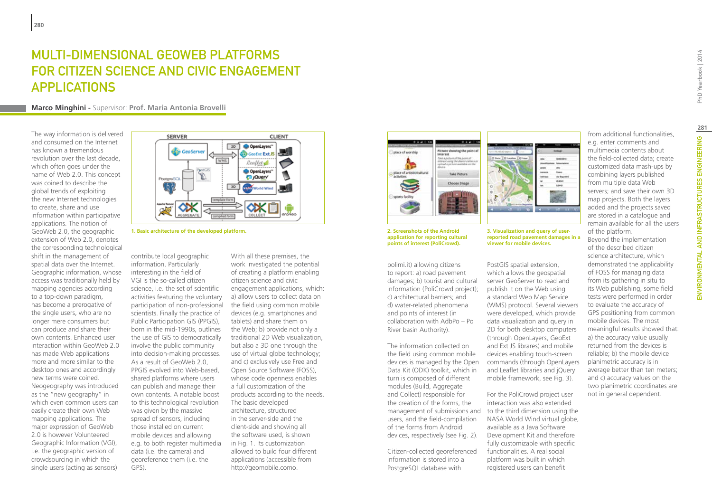# Multi-dimensional GeoWeb platforms for citizen science and civic engagement applications

#### **Marco Minghini -** Supervisor: **Prof. Maria Antonia Brovelli**

The way information is delivered and consumed on the Internet has known a tremendous revolution over the last decade, which often goes under the name of Web 2.0. This concept was coined to describe the global trends of exploiting the new Internet technologies to create, share and use information within participative applications. The notion of GeoWeb 2.0, the geographic extension of Web 2.0, denotes the corresponding technological shift in the management of spatial data over the Internet. Geographic information, whose access was traditionally held by mapping agencies according to a top-down paradigm, has become a prerogative of the single users, who are no longer mere consumers but can produce and share their own contents. Enhanced user interaction within GeoWeb 2.0 has made Web applications more and more similar to the desktop ones and accordingly new terms were coined. Neogeography was introduced as the "new geography" in which even common users can easily create their own Web mapping applications. The major expression of GeoWeb 2.0 is however Volunteered Geographic Information (VGI), i.e. the geographic version of crowdsourcing in which the single users (acting as sensors)



**1. Basic architecture of the developed platform. 3. Visualization and query of user-**

contribute local geographic information. Particularly interesting in the field of VGI is the so-called citizen science, i.e. the set of scientific activities featuring the voluntary participation of non-professional scientists. Finally the practice of Public Participation GIS (PPGIS), born in the mid-1990s, outlines the use of GIS to democratically involve the public community into decision-making processes. As a result of GeoWeb 2.0, PPGIS evolved into Web-based, shared platforms where users can publish and manage their own contents. A notable boost to this technological revolution was given by the massive spread of sensors, including those installed on current mobile devices and allowing e.g. to both register multimedia data (i.e. the camera) and georeference them (i.e. the GPS).

With all these premises, the work investigated the potential of creating a platform enabling citizen science and civic engagement applications, which: a) allow users to collect data on the field using common mobile devices (e.g. smartphones and tablets) and share them on the Web; b) provide not only a traditional 2D Web visualization, but also a 3D one through the use of virtual globe technology; and c) exclusively use Free and Open Source Software (FOSS), whose code openness enables a full customization of the products according to the needs. The basic developed architecture, structured in the server-side and the client-side and showing all the software used, is shown in Fig. 1. Its customization allowed to build four different applications (accessible from http://geomobile.como.



**2. Screenshots of the Android application for reporting cultural points of interest (PoliCrowd).**

polimi.it) allowing citizens to report: a) road pavement damages; b) tourist and cultural information (PoliCrowd project); c) architectural barriers; and d) water-related phenomena and points of interest (in collaboration with AdbPo – Po River basin Authority).

The information collected on the field using common mobile devices is managed by the Open Data Kit (ODK) toolkit, which in turn is composed of different modules (Build, Aggregate and Collect) responsible for the creation of the forms, the users, and the field-compilation of the forms from Android devices, respectively (see Fig. 2).

Citizen-collected georeferenced information is stored into a PostgreSQL database with



**reported road pavement damages in a viewer for mobile devices.**

PostGIS spatial extension, which allows the geospatial server GeoServer to read and publish it on the Web using a standard Web Map Service (WMS) protocol. Several viewers were developed, which provide data visualization and query in 2D for both desktop computers (through OpenLayers, GeoExt and Ext JS librares) and mobile devices enabling touch-screen commands (through OpenLayers and Leaflet libraries and jQuery mobile framework, see Fig. 3).

management of submissions and to the third dimension using the For the PoliCrowd project user interaction was also extended NASA World Wind virtual globe, available as a Java Software Development Kit and therefore fully customizable with specific functionalities. A real social platform was built in which registered users can benefit

from additional functionalities, e.g. enter comments and multimedia contents about the field-collected data; create customized data mash-ups by combining layers published from multiple data Web servers; and save their own 3D map projects. Both the layers added and the projects saved are stored in a catalogue and remain available for all the users of the platform.

Beyond the implementation of the described citizen science architecture, which demonstrated the applicability of FOSS for managing data from its gathering in situ to its Web publishing, some field tests were performed in order to evaluate the accuracy of GPS positioning from common mobile devices. The most meaningful results showed that: a) the accuracy value usually returned from the devices is reliable; b) the mobile device planimetric accuracy is in average better than ten meters; and c) accuracy values on the two planimetric coordinates are not in general dependent.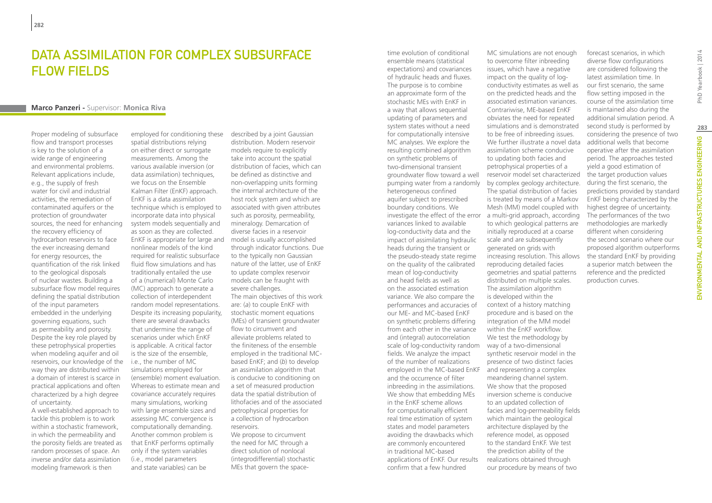### Data assimilation for complex subsurface flow fields

#### **Marco Panzeri -** Supervisor: **Monica Riva**

Proper modeling of subsurface flow and transport processes is key to the solution of a wide range of engineering and environmental problems. Relevant applications include, e.g., the supply of fresh water for civil and industrial activities, the remediation of contaminated aquifers or the protection of groundwater sources, the need for enhancing the recovery efficiency of hydrocarbon reservoirs to face the ever increasing demand for energy resources, the quantification of the risk linked to the geological disposals of nuclear wastes. Building a subsurface flow model requires defining the spatial distribution of the input parameters embedded in the underlying governing equations, such as permeability and porosity. Despite the key role played by these petrophysical properties when modeling aquifer and oil reservoirs, our knowledge of the way they are distributed within a domain of interest is scarce in practical applications and often characterized by a high degree of uncertainty.

A well-established approach to tackle this problem is to work within a stochastic framework, in which the permeability and the porosity fields are treated as random processes of space. An inverse and/or data assimilation modeling framework is then

employed for conditioning these spatial distributions relying on either direct or surrogate measurements. Among the various available inversion (or data assimilation) techniques, we focus on the Ensemble Kalman Filter (EnKF) approach. EnKF is a data assimilation technique which is employed to incorporate data into physical system models sequentially and as soon as they are collected. EnKF is appropriate for large and nonlinear models of the kind required for realistic subsurface fluid flow simulations and has traditionally entailed the use of a (numerical) Monte Carlo (MC) approach to generate a collection of interdependent random model representations. Despite its increasing popularity, there are several drawbacks that undermine the range of scenarios under which EnKF is applicable. A critical factor is the size of the ensemble, i.e., the number of MC simulations employed for (ensemble) moment evaluation. Whereas to estimate mean and covariance accurately requires many simulations, working with large ensemble sizes and assessing MC convergence is computationally demanding. Another common problem is that EnKF performs optimally only if the system variables (i.e., model parameters and state variables) can be

described by a joint Gaussian distribution. Modern reservoir models require to explicitly take into account the spatial distribution of facies, which can be defined as distinctive and non-overlapping units forming the internal architecture of the host rock system and which are associated with given attributes such as porosity, permeability, mineralogy. Demarcation of diverse facies in a reservoir model is usually accomplished through indicator functions. Due to the typically non Gaussian nature of the latter, use of EnKF to update complex reservoir models can be fraught with severe challenges. The main objectives of this work are: (*a*) to couple EnKF with stochastic moment equations (MEs) of transient groundwater flow to circumvent and alleviate problems related to the finiteness of the ensemble employed in the traditional MCbased EnKF; and (*b*) to develop an assimilation algorithm that is conducive to conditioning on a set of measured production data the spatial distribution of lithofacies and of the associated petrophysical properties for a collection of hydrocarbon reservoirs. We propose to circumvent the need for MC through a direct solution of nonlocal (integrodifferential) stochastic MEs that govern the spacetime evolution of conditional ensemble means (statistical expectations) and covariances of hydraulic heads and fluxes. The purpose is to combine an approximate form of the stochastic MEs with EnKF in a way that allows sequential updating of parameters and system states without a need for computationally intensive MC analyses. We explore the resulting combined algorithm on synthetic problems of two-dimensional transient groundwater flow toward a well pumping water from a randomly heterogeneous confined aquifer subject to prescribed boundary conditions. We investigate the effect of the error variances linked to available log-conductivity data and the impact of assimilating hydraulic heads during the transient or the pseudo-steady state regime on the quality of the calibrated mean of log-conductivity and head fields as well as on the associated estimation variance. We also compare the performances and accuracies of our ME- and MC-based EnKF on synthetic problems differing from each other in the variance and (integral) autocorrelation scale of log-conductivity random way of a two-dimensional fields. We analyze the impact of the number of realizations employed in the MC-based EnKF and the occurrence of filter inbreeding in the assimilations. We show that embedding MEs in the EnKF scheme allows for computationally efficient real time estimation of system states and model parameters avoiding the drawbacks which are commonly encountered in traditional MC-based applications of EnKF. Our results confirm that a few hundred

MC simulations are not enough to overcome filter inbreeding issues, which have a negative impact on the quality of logconductivity estimates as well as on the predicted heads and the associated estimation variances. Contrariwise, ME-based EnKF obviates the need for repeated simulations and is demonstrated to be free of inbreeding issues. We further illustrate a novel data assimilation scheme conducive to updating both facies and petrophysical properties of a reservoir model set characterized by complex geology architecture. The spatial distribution of facies is treated by means of a Markov Mesh (MM) model coupled with a multi-grid approach, according to which geological patterns are initially reproduced at a coarse scale and are subsequently generated on grids with increasing resolution. This allows reproducing detailed facies geometries and spatial patterns distributed on multiple scales. The assimilation algorithm is developed within the context of a history matching procedure and is based on the integration of the MM model within the EnKF workflow. We test the methodology by synthetic reservoir model in the presence of two distinct facies and representing a complex meandering channel system. We show that the proposed inversion scheme is conducive to an updated collection of facies and log-permeability fields which maintain the geological architecture displayed by the reference model, as opposed to the standard EnKF. We test the prediction ability of the realizations obtained through our procedure by means of two

forecast scenarios, in which diverse flow configurations are considered following the latest assimilation time. In our first scenario, the same flow setting imposed in the course of the assimilation time is maintained also during the additional simulation period. A second study is performed by considering the presence of two additional wells that become operative after the assimilation period. The approaches tested yield a good estimation of the target production values during the first scenario, the predictions provided by standard EnKF being characterized by the highest degree of uncertainty. The performances of the two methodologies are markedly different when considering the second scenario where our proposed algorithm outperforms the standard EnKF by providing a superior match between the reference and the predicted production curves.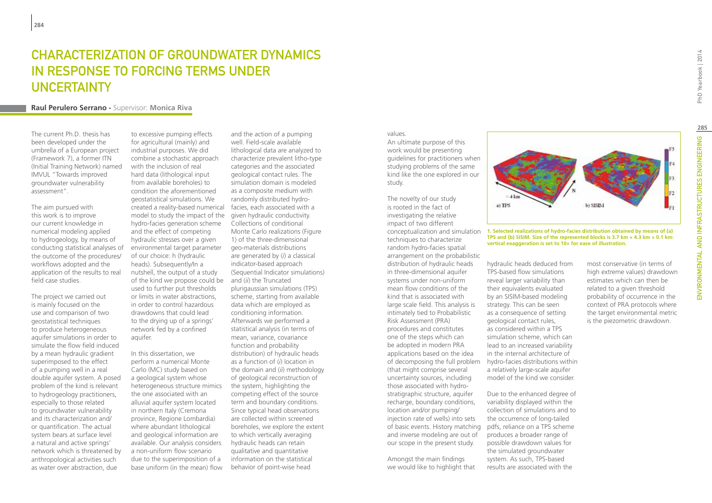### CHARACTERIZATION OF GROUNDWATER DYNAMICS IN RESPONSE TO FORCING TERMS UNDER **UNCERTAINTY**

#### **Raul Perulero Serrano -** Supervisor: **Monica Riva**

The current Ph.D. thesis has been developed under the umbrella of a European project (Framework 7), a former ITN (Initial Training Network) named IMVUL "Towards improved groundwater vulnerability assessment".

The aim pursued with this work is to improve our current knowledge in numerical modeling applied to hydrogeology, by means of conducting statistical analyses of the outcome of the procedures/ workflows adopted and the application of the results to real field case studies.

The project we carried out is mainly focused on the use and comparison of two geostatistical techniques to produce heterogeneous aquifer simulations in order to simulate the flow field induced by a mean hydraulic gradient superimposed to the effect of a pumping well in a real double aquifer system. A posed problem of the kind is relevant to hydrogeology practitioners, especially to those related to groundwater vulnerability and its characterization and/ or quantification. The actual system bears at surface level a natural and active springs' network which is threatened by anthropological activities such as water over abstraction, due

to excessive pumping effects for agricultural (mainly) and industrial purposes. We did combine a stochastic approach with the inclusion of real hard data (lithological input from available boreholes) to condition the aforementioned geostatistical simulations. We created a reality-based numerical model to study the impact of the hydro-facies generation scheme and the effect of competing hydraulic stresses over a given environmental target parameter of our choice: h (hydraulic heads). Subsequently/In a nutshell, the output of a study of the kind we propose could be used to further put thresholds or limits in water abstractions, in order to control hazardous drawdowns that could lead to the drying up of a springs' network fed by a confined aquifer.

In this dissertation, we perform a numerical Monte Carlo (MC) study based on a geological system whose heterogeneous structure mimics the one associated with an alluvial aquifer system located in northern Italy (Cremona province, Regione Lombardia) where abundant lithological and geological information are available. Our analysis considers a non-uniform flow scenario due to the superimposition of a base uniform (in the mean) flow

and the action of a pumping well. Field-scale available lithological data are analyzed to characterize prevalent litho-type categories and the associated geological contact rules. The simulation domain is modeled as a composite medium with randomly distributed hydrofacies, each associated with a given hydraulic conductivity. Collections of conditional Monte Carlo realizations (Figure 1) of the three-dimensional geo-materials distributions are generated by (*i*) a classical indicator-based approach (Sequential Indicator simulations) and (*ii*) the Truncated plurigaussian simulations (TPS) scheme, starting from available data which are employed as conditioning information. Afterwards we performed a statistical analysis (in terms of mean, variance, covariance function and probability distribution) of hydraulic heads as a function of (*i*) location in the domain and (*ii*) methodology of geological reconstruction of the system, highlighting the competing effect of the source term and boundary conditions. Since typical head observations are collected within screened boreholes, we explore the extent to which vertically averaging hydraulic heads can retain qualitative and quantitative information on the statistical behavior of point-wise head

### values.

An ultimate purpose of this work would be presenting guidelines for practitioners when studying problems of the same kind like the one explored in our study.

The novelty of our study is rooted in the fact of investigating the relative impact of two different conceptualization and simulation techniques to characterize random hydro-facies spatial arrangement on the probabilistic distribution of hydraulic heads in three-dimensional aquifer systems under non-uniform mean flow conditions of the kind that is associated with large scale field. This analysis is intimately tied to Probabilistic Risk Assessment (PRA) procedures and constitutes one of the steps which can be adopted in modern PRA applications based on the idea of decomposing the full problem (that might comprise several uncertainty sources, including those associated with hydrostratigraphic structure, aquifer recharge, boundary conditions, location and/or pumping/ injection rate of wells) into sets of basic events. History matching and inverse modeling are out of our scope in the present study.

Amongst the main findings we would like to highlight that



**1. Selected realizations of hydro-facies distribution obtained by means of (a) TPS and (b) SISIM. Size of the represented blocks is 3.7 km × 4.3 km × 0.1 km: vertical exaggeration is set to 10× for ease of illustration.**

hydraulic heads deduced from TPS-based flow simulations reveal larger variability than their equivalents evaluated by an SISIM-based modeling strategy. This can be seen as a consequence of setting geological contact rules, as considered within a TPS simulation scheme, which can lead to an increased variability in the internal architecture of hydro-facies distributions within a relatively large-scale aquifer model of the kind we consider.

Due to the enhanced degree of variability displayed within the collection of simulations and to the occurrence of long-tailed pdfs, reliance on a TPS scheme produces a broader range of possible drawdown values for the simulated groundwater system. As such, TPS-based results are associated with the

#### most conservative (in terms of high extreme values) drawdown estimates which can then be related to a given threshold probability of occurrence in the context of PRA protocols where the target environmental metric is the piezometric drawdown.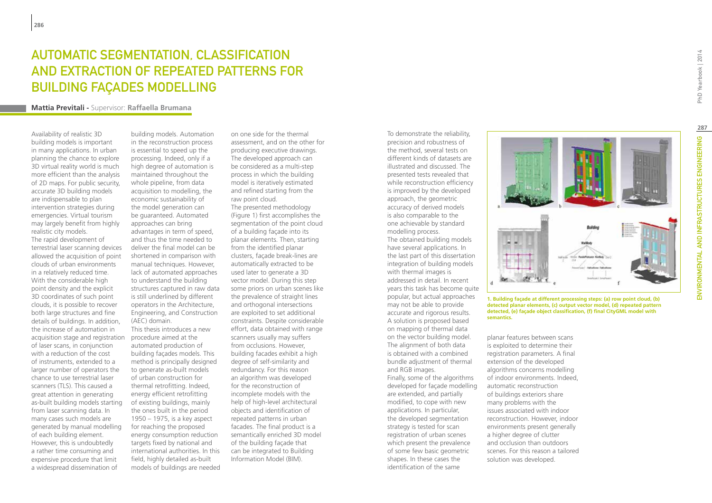# Automatic segmentation, classification and extraction of repeated patterns for building façades modelling

#### **Mattia Previtali -** Supervisor: **Raffaella Brumana**

Availability of realistic 3D building models is important in many applications. In urban planning the chance to explore 3D virtual reality world is much more efficient than the analysis of 2D maps. For public security, accurate 3D building models are indispensable to plan intervention strategies during emergencies. Virtual tourism may largely benefit from highly realistic city models. The rapid development of terrestrial laser scanning devices allowed the acquisition of point clouds of urban environments in a relatively reduced time. With the considerable high point density and the explicit 3D coordinates of such point clouds, it is possible to recover both large structures and fine details of buildings. In addition, the increase of automation in acquisition stage and registration of laser scans, in conjunction with a reduction of the cost of instruments, extended to a larger number of operators the chance to use terrestrial laser scanners (TLS). This caused a great attention in generating as-built building models starting from laser scanning data. In many cases such models are generated by manual modelling of each building element. However, this is undoubtedly a rather time consuming and expensive procedure that limit a widespread dissemination of

building models. Automation in the reconstruction process is essential to speed up the processing. Indeed, only if a high degree of automation is maintained throughout the whole pipeline, from data acquisition to modelling, the economic sustainability of the model generation can be guaranteed. Automated approaches can bring advantages in term of speed, and thus the time needed to deliver the final model can be shortened in comparison with manual techniques. However, lack of automated approaches to understand the building structures captured in raw data is still underlined by different operators in the Architecture, Engineering, and Construction (AEC) domain. This thesis introduces a new procedure aimed at the automated production of building façades models. This method is principally designed to generate as-built models of urban construction for thermal retrofitting. Indeed, energy efficient retrofitting of existing buildings, mainly the ones built in the period 1950 – 1975, is a key aspect for reaching the proposed energy consumption reduction targets fixed by national and international authorities. In this field, highly detailed as-built models of buildings are needed

on one side for the thermal assessment, and on the other for producing executive drawings. The developed approach can be considered as a multi-step process in which the building model is iteratively estimated and refined starting from the raw point cloud. The presented methodology (Figure 1) first accomplishes the segmentation of the point cloud of a building façade into its planar elements. Then, starting from the identified planar clusters, façade break-lines are automatically extracted to be used later to generate a 3D vector model. During this step some priors on urban scenes like the prevalence of straight lines and orthogonal intersections are exploited to set additional constraints. Despite considerable effort, data obtained with range scanners usually may suffers from occlusions. However, building facades exhibit a high degree of self-similarity and redundancy. For this reason an algorithm was developed for the reconstruction of incomplete models with the help of high-level architectural objects and identification of repeated patterns in urban facades. The final product is a semantically enriched 3D model of the building façade that can be integrated to Building Information Model (BIM).

precision and robustness of the method, several tests on different kinds of datasets are illustrated and discussed. The presented tests revealed that while reconstruction efficiency is improved by the developed approach, the geometric accuracy of derived models is also comparable to the one achievable by standard modelling process. The obtained building models have several applications. In the last part of this dissertation integration of building models with thermal images is addressed in detail. In recent years this task has become quite popular, but actual approaches may not be able to provide accurate and rigorous results. A solution is proposed based on mapping of thermal data on the vector building model. The alignment of both data is obtained with a combined bundle adjustment of thermal and RGB images. Finally, some of the algorithms developed for façade modelling are extended, and partially modified, to cope with new applications. In particular, the developed segmentation strategy is tested for scan registration of urban scenes which present the prevalence of some few basic geometric shapes. In these cases the identification of the same

To demonstrate the reliability,



**1. Building façade at different processing steps: (a) row point cloud, (b) detected planar elements, (c) output vector model, (d) repeated pattern detected, (e) façade object classification, (f) final CityGML model with** 

planar features between scans is exploited to determine their registration parameters. A final extension of the developed algorithms concerns modelling of indoor environments. Indeed, automatic reconstruction of buildings exteriors share many problems with the issues associated with indoor reconstruction. However, indoor environments present generally a higher degree of clutter and occlusion than outdoors scenes. For this reason a tailored solution was developed.

**semantics.**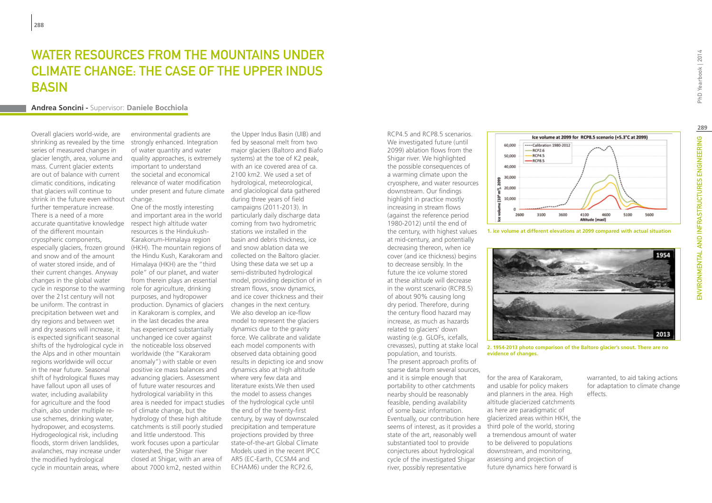### WATER RESOURCES FROM THE MOUNTAINS UNDER climate change: the case of the Upper Indus **BASIN**

#### **Andrea Soncini -** Supervisor: **Daniele Bocchiola**

Overall glaciers world-wide, are shrinking as revealed by the time series of measured changes in glacier length, area, volume and mass. Current glacier extents are out of balance with current climatic conditions, indicating that glaciers will continue to shrink in the future even without change. further temperature increase. There is a need of a more accurate quantitative knowledge respect high altitude water of the different mountain cryospheric components, especially glaciers, frozen ground and snow and of the amount of water stored inside, and of their current changes. Anyway changes in the global water cycle in response to the warming over the 21st century will not be uniform. The contrast in precipitation between wet and dry regions and between wet and dry seasons will increase, it is expected significant seasonal shifts of the hydrological cycle in the Alps and in other mountain regions worldwide will occur in the near future. Seasonal shift of hydrological fluxes may have fallout upon all uses of water, including availability for agriculture and the food chain, also under multiple reuse schemes, drinking water, hydropower, and ecosystems. Hydrogeological risk, including floods, storm driven landslides, avalanches, may increase under the modified hydrological cycle in mountain areas, where

environmental gradients are strongly enhanced. Integration of water quantity and water quality approaches, is extremely important to understand the societal and economical relevance of water modification under present and future climate and glaciological data gathered

One of the mostly interesting and important area in the world resources is the Hindukush-Karakorum-Himalaya region (HKH). The mountain regions of the Hindu Kush, Karakoram and Himalaya (HKH) are the "third pole" of our planet, and water from therein plays an essential role for agriculture, drinking purposes, and hydropower production. Dynamics of glaciers in Karakoram is complex, and in the last decades the area has experienced substantially unchanged ice cover against the noticeable loss observed worldwide (the "Karakoram anomaly") with stable or even positive ice mass balances and advancing glaciers. Assessment of future water resources and hydrological variability in this area is needed for impact studies of the hydrological cycle until of climate change, but the hydrology of these high altitude catchments is still poorly studied and little understood. This work focuses upon a particular watershed, the Shigar river closed at Shigar, with an area of about 7000 km2, nested within

the Upper Indus Basin (UIB) and fed by seasonal melt from two major glaciers (Baltoro and Biafo systems) at the toe of K2 peak, with an ice covered area of ca. 2100 km2. We used a set of hydrological, meteorological, during three years of field campaigns (2011-2013). In particularly daily discharge data coming from two hydrometric stations we installed in the basin and debris thickness, ice and snow ablation data we collected on the Baltoro glacier. Using these data we set up a semi-distributed hydrological model, providing depiction of in stream flows, snow dynamics, and ice cover thickness and their changes in the next century. We also develop an ice-flow model to represent the glaciers dynamics due to the gravity force. We calibrate and validate each model components with observed data obtaining good results in depicting ice and snow dynamics also at high altitude where very few data and literature exists.We then used the model to assess changes the end of the twenty-first century, by way of downscaled precipitation and temperature projections provided by three state-of-the-art Global Climate Models used in the recent IPCC AR5 (EC-Earth, CCSM4 and ECHAM6) under the RCP2.6,

We investigated future (until 2099) ablation flows from the Shigar river. We highlighted the possible consequences of a warming climate upon the cryosphere, and water resources downstream. Our findings highlight in practice mostly increasing in stream flows (against the reference period 1980-2012) until the end of the century, with highest values at mid-century, and potentially decreasing thereon, when ice cover (and ice thickness) begins to decrease sensibly. In the future the ice volume stored at these altitude will decrease in the worst scenario (RCP8.5) of about 90% causing long dry period. Therefore, during the century flood hazard may increase, as much as hazards related to glaciers' down wasting (e.g. GLOFs, icefalls, crevasses), putting at stake local population, and tourists. The present approach profits of sparse data from several sources, and it is simple enough that portability to other catchments nearby should be reasonably feasible, pending availability of some basic information. state of the art, reasonably well substantiated tool to provide conjectures about hydrological cycle of the investigated Shigar river, possibly representative

RCP4.5 and RCP8.5 scenarios.



**1. ice volume at different elevations at 2099 compared with actual situation**



**2. 1954-2013 photo comparison of the Baltoro glacier's snout. There are no evidence of changes.**

Eventually, our contribution here glacierized areas within HKH, the seems of interest, as it provides a third pole of the world, storing for the area of Karakoram, and usable for policy makers and planners in the area. High altitude glacierized catchments as here are paradigmatic of a tremendous amount of water to be delivered to populations downstream, and monitoring, assessing and projection of future dynamics here forward is

warranted, to aid taking actions for adaptation to climate change effects.

PhD Yearbook | 2014